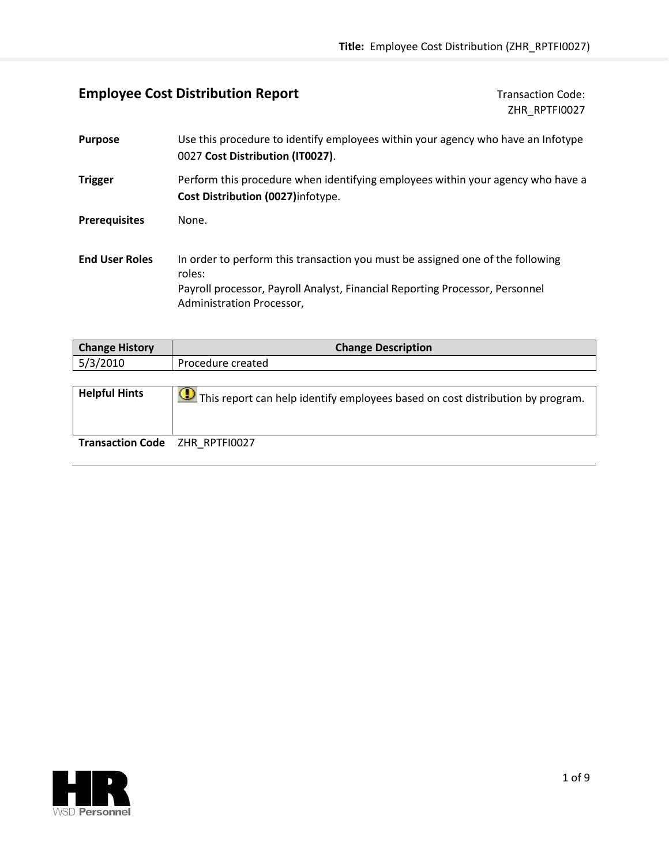## **Employee Cost Distribution Report** Transaction Code:

ZHR\_RPTFI0027

| <b>Purpose</b>        | Use this procedure to identify employees within your agency who have an Infotype<br>0027 Cost Distribution (IT0027).                                                                                  |
|-----------------------|-------------------------------------------------------------------------------------------------------------------------------------------------------------------------------------------------------|
| <b>Trigger</b>        | Perform this procedure when identifying employees within your agency who have a<br>Cost Distribution (0027) infotype.                                                                                 |
| <b>Prerequisites</b>  | None.                                                                                                                                                                                                 |
| <b>End User Roles</b> | In order to perform this transaction you must be assigned one of the following<br>roles:<br>Payroll processor, Payroll Analyst, Financial Reporting Processor, Personnel<br>Administration Processor, |

| <b>Change History</b>          | <b>Change Description</b>                                                                 |
|--------------------------------|-------------------------------------------------------------------------------------------|
| 5/3/2010                       | Procedure created                                                                         |
|                                |                                                                                           |
| <b>Helpful Hints</b>           | $\bigcirc$ This report can help identify employees based on cost distribution by program. |
| Transaction Code ZHR RPTFI0027 |                                                                                           |

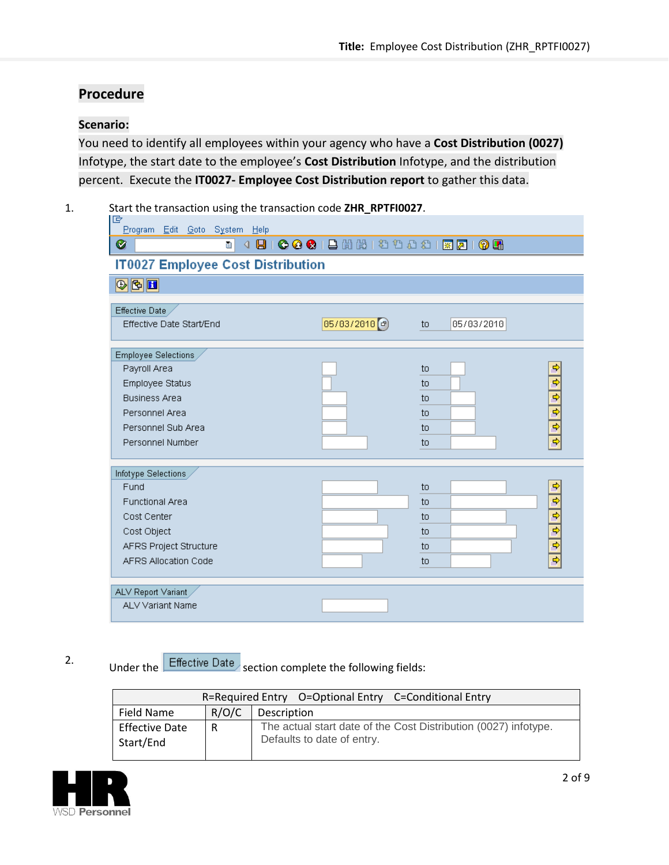## **Procedure**

### **Scenario:**

You need to identify all employees within your agency who have a **Cost Distribution (0027)** Infotype, the start date to the employee's **Cost Distribution** Infotype, and the distribution percent. Execute the **IT0027- Employee Cost Distribution report** to gather this data.

1. Start the transaction using the transaction code **ZHR\_RPTFI0027**.

| lG<br>Program Edit Goto System Help      |                       |                                       |               |
|------------------------------------------|-----------------------|---------------------------------------|---------------|
| ◙<br>ū.                                  |                       | 4 8 6 6 6 8 8 8 8 9 9 9 8 9 8 9 8 9 8 |               |
| <b>IT0027 Employee Cost Distribution</b> |                       |                                       |               |
| $\mathbb{E}[\mathfrak{G}]\circledast$    |                       |                                       |               |
| Effective Date                           |                       |                                       |               |
| Effective Date Start/End                 | $05/03/2010$ $\sigma$ | 05/03/2010<br>to                      |               |
| Employee Selections                      |                       |                                       |               |
| Payroll Area                             |                       | to                                    | ⇨             |
| Employee Status                          |                       | to                                    | $\frac{4}{9}$ |
| <b>Business Area</b>                     |                       | to                                    |               |
| Personnel Area                           |                       | to                                    |               |
| Personnel Sub Area                       |                       | to                                    |               |
| Personnel Number                         |                       | to                                    |               |
| Infotype Selections                      |                       |                                       |               |
| Fund                                     |                       | to                                    | ф             |
| <b>Functional Area</b>                   |                       | to                                    |               |
| Cost Center                              |                       | to                                    |               |
| Cost Object                              |                       | to                                    |               |
| AFRS Project Structure                   |                       | to                                    | $\frac{1}{2}$ |
| AFRS Allocation Code                     |                       | to                                    |               |
| ALV Report Variant                       |                       |                                       |               |
| <b>ALV Variant Name</b>                  |                       |                                       |               |

# 2. Under the Effective Date section complete the following fields:

|                                    |       | R=Required Entry O=Optional Entry C=Conditional Entry                                         |
|------------------------------------|-------|-----------------------------------------------------------------------------------------------|
| Field Name                         | R/O/C | Description                                                                                   |
| <b>Effective Date</b><br>Start/End | R     | The actual start date of the Cost Distribution (0027) infotype.<br>Defaults to date of entry. |

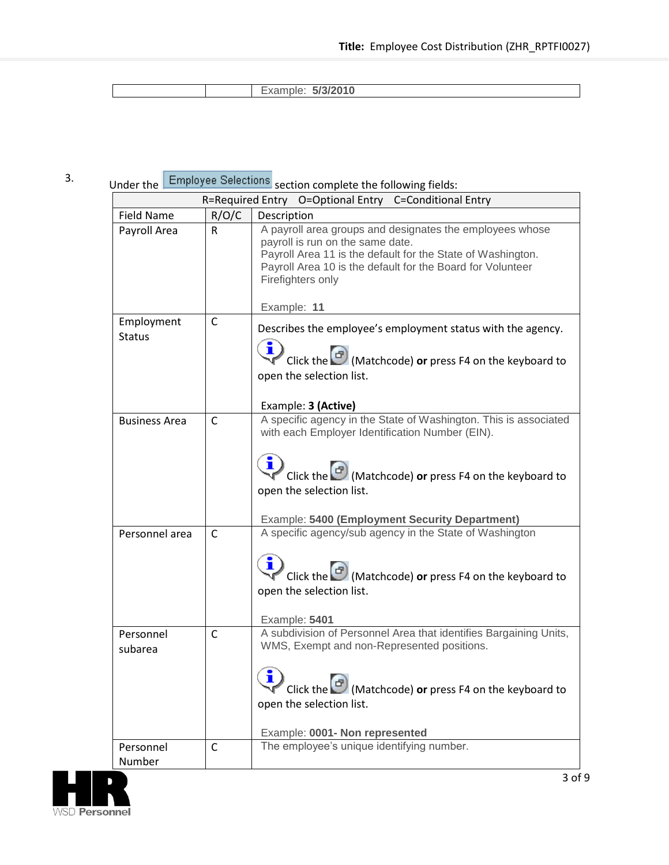| F(A)<br>JI U NU |  |  |
|-----------------|--|--|
|                 |  |  |

## 3. Under the Employee Selections section complete the following fields:

|                      |              | R=Required Entry O=Optional Entry C=Conditional Entry                                                                                                                                                                                                         |
|----------------------|--------------|---------------------------------------------------------------------------------------------------------------------------------------------------------------------------------------------------------------------------------------------------------------|
| Field Name           | R/O/C        | Description                                                                                                                                                                                                                                                   |
| Payroll Area         | R.           | A payroll area groups and designates the employees whose<br>payroll is run on the same date.<br>Payroll Area 11 is the default for the State of Washington.<br>Payroll Area 10 is the default for the Board for Volunteer<br>Firefighters only<br>Example: 11 |
| Employment           | C            | Describes the employee's employment status with the agency.                                                                                                                                                                                                   |
| <b>Status</b>        |              | Click the $\boxed{\mathcal{O}}$ (Matchcode) or press F4 on the keyboard to<br>open the selection list.<br>Example: 3 (Active)                                                                                                                                 |
| <b>Business Area</b> | C            | A specific agency in the State of Washington. This is associated<br>with each Employer Identification Number (EIN).                                                                                                                                           |
|                      |              | Click the (Matchcode) or press F4 on the keyboard to<br>open the selection list.<br>Example: 5400 (Employment Security Department)                                                                                                                            |
| Personnel area       | C            | A specific agency/sub agency in the State of Washington                                                                                                                                                                                                       |
|                      |              | Click the (D) (Matchcode) or press F4 on the keyboard to<br>open the selection list.<br>Example: 5401                                                                                                                                                         |
| Personnel<br>subarea | $\mathsf{C}$ | A subdivision of Personnel Area that identifies Bargaining Units,<br>WMS, Exempt and non-Represented positions.                                                                                                                                               |
|                      |              | Click the Matchcode) or press F4 on the keyboard to<br>open the selection list.<br>Example: 0001- Non represented                                                                                                                                             |
| Personnel            | $\mathsf{C}$ | The employee's unique identifying number.                                                                                                                                                                                                                     |
| Number               |              |                                                                                                                                                                                                                                                               |

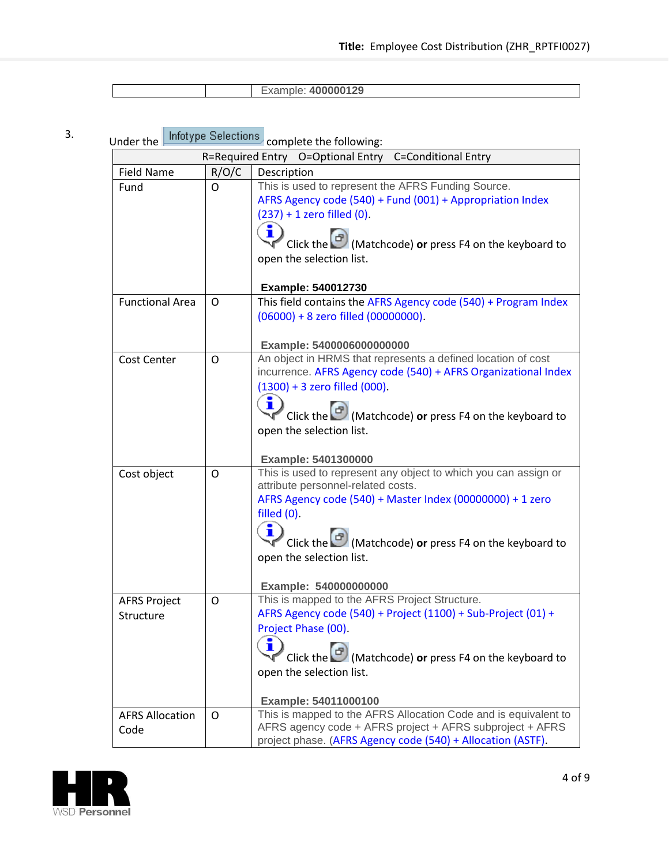| 0.0000100<br><b>JUUU LAJ</b> |  |  |
|------------------------------|--|--|
|                              |  |  |

# 3. Under the Infotype Selections complete the following:

| muer uie               | R=Required Entry | complete the following.<br>O=Optional Entry<br><b>C=Conditional Entry</b>                                                   |
|------------------------|------------------|-----------------------------------------------------------------------------------------------------------------------------|
| <b>Field Name</b>      | R/O/C            | Description                                                                                                                 |
| Fund                   | Ο                | This is used to represent the AFRS Funding Source.                                                                          |
|                        |                  | AFRS Agency code (540) + Fund (001) + Appropriation Index                                                                   |
|                        |                  | $(237) + 1$ zero filled $(0)$ .                                                                                             |
|                        |                  |                                                                                                                             |
|                        |                  | $\sqrt{\frac{1}{2}}$ Click the $\boxed{\frac{1}{2}}$ (Matchcode) or press F4 on the keyboard to                             |
|                        |                  | open the selection list.                                                                                                    |
|                        |                  |                                                                                                                             |
|                        |                  | Example: 540012730                                                                                                          |
| <b>Functional Area</b> | O                | This field contains the AFRS Agency code (540) + Program Index                                                              |
|                        |                  | $(06000) + 8$ zero filled $(00000000)$ .                                                                                    |
|                        |                  |                                                                                                                             |
|                        |                  | Example: 5400006000000000                                                                                                   |
| Cost Center            | O                | An object in HRMS that represents a defined location of cost                                                                |
|                        |                  | incurrence. AFRS Agency code (540) + AFRS Organizational Index<br>$(1300) + 3$ zero filled $(000)$ .                        |
|                        |                  |                                                                                                                             |
|                        |                  | Click the $\Box$ (Matchcode) or press F4 on the keyboard to                                                                 |
|                        |                  | open the selection list.                                                                                                    |
|                        |                  |                                                                                                                             |
|                        |                  | Example: 5401300000                                                                                                         |
| Cost object            | O                | This is used to represent any object to which you can assign or                                                             |
|                        |                  | attribute personnel-related costs.                                                                                          |
|                        |                  | AFRS Agency code (540) + Master Index (00000000) + 1 zero                                                                   |
|                        |                  | filled (0).                                                                                                                 |
|                        |                  |                                                                                                                             |
|                        |                  | Click the $\Box$ (Matchcode) or press F4 on the keyboard to                                                                 |
|                        |                  | open the selection list.                                                                                                    |
|                        |                  | Example: 540000000000                                                                                                       |
| <b>AFRS Project</b>    | O                | This is mapped to the AFRS Project Structure.                                                                               |
| Structure              |                  | AFRS Agency code (540) + Project (1100) + Sub-Project (01) +                                                                |
|                        |                  | Project Phase (00).                                                                                                         |
|                        |                  |                                                                                                                             |
|                        |                  | Click the $\Box$ (Matchcode) or press F4 on the keyboard to                                                                 |
|                        |                  | open the selection list.                                                                                                    |
|                        |                  |                                                                                                                             |
|                        |                  | Example: 54011000100                                                                                                        |
| <b>AFRS Allocation</b> | O                | This is mapped to the AFRS Allocation Code and is equivalent to<br>AFRS agency code + AFRS project + AFRS subproject + AFRS |
| Code                   |                  | project phase. (AFRS Agency code (540) + Allocation (ASTF).                                                                 |

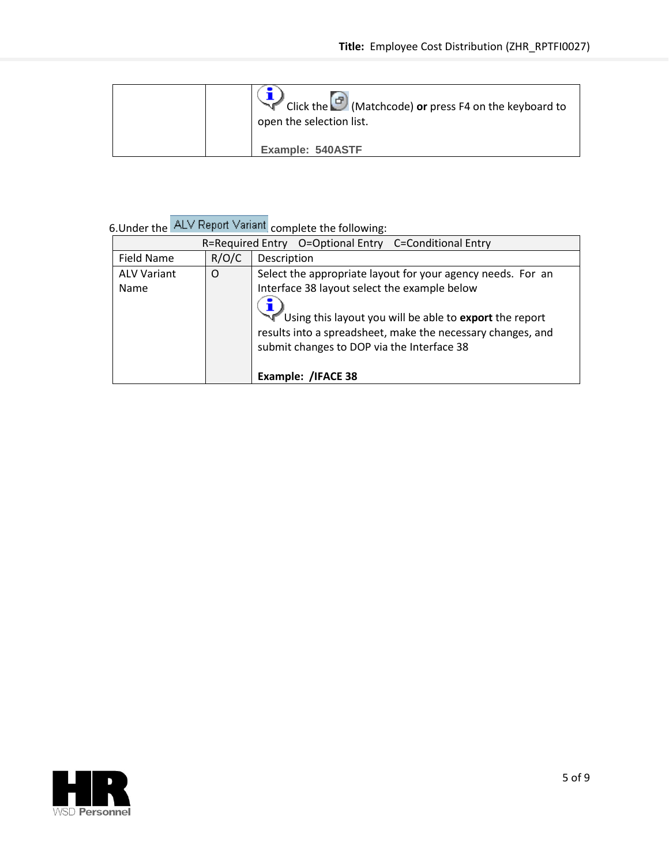| Click the C (Matchcode) or press F4 on the keyboard to<br>open the selection list. |
|------------------------------------------------------------------------------------|
| Example: 540ASTF                                                                   |

|  | 6. Under the ALV Report Variant complete the following: |
|--|---------------------------------------------------------|

|                            |       | R=Required Entry O=Optional Entry C=Conditional Entry                                                                                                                                                                                                                               |
|----------------------------|-------|-------------------------------------------------------------------------------------------------------------------------------------------------------------------------------------------------------------------------------------------------------------------------------------|
| Field Name                 | R/O/C | Description                                                                                                                                                                                                                                                                         |
| <b>ALV Variant</b><br>Name | O     | Select the appropriate layout for your agency needs. For an<br>Interface 38 layout select the example below<br>Using this layout you will be able to export the report<br>results into a spreadsheet, make the necessary changes, and<br>submit changes to DOP via the Interface 38 |
|                            |       | Example: /IFACE 38                                                                                                                                                                                                                                                                  |

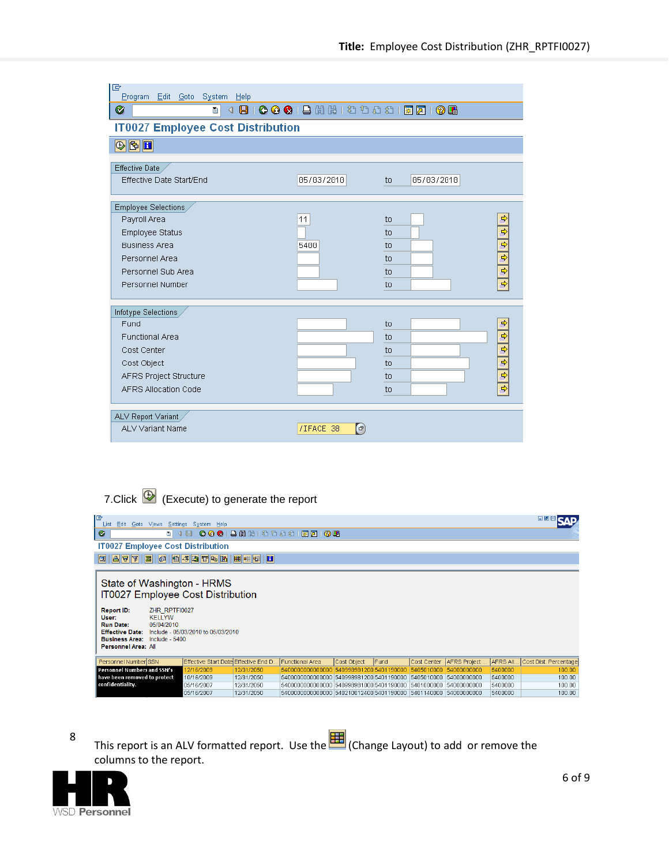| 叵<br>Program Edit Goto System Help       |                                             |                               |
|------------------------------------------|---------------------------------------------|-------------------------------|
| ◙<br>$\triangleleft$<br>Ū.               |                                             | 800001255999998180            |
| <b>IT0027 Employee Cost Distribution</b> |                                             |                               |
| $\mathbf{E}[\mathbf{E}]\subseteq$        |                                             |                               |
| Effective Date                           |                                             |                               |
| Effective Date Start/End                 | 05/03/2010                                  | 05/03/2010<br>to              |
| Employee Selections                      |                                             |                               |
| Payroll Area                             | 11                                          | ⇨<br>to                       |
| Employee Status                          |                                             | $\overline{\mathbf{r}}$<br>to |
| <b>Business Area</b>                     | 5400                                        | श के से भी<br>to              |
| Personnel Area                           |                                             | to                            |
| Personnel Sub Area                       |                                             | to                            |
| Personnel Number                         |                                             | to                            |
| Infotype Selections                      |                                             |                               |
| Fund                                     |                                             | <br>to                        |
| <b>Functional Area</b>                   |                                             | to                            |
| Cost Center                              |                                             | to                            |
| Cost Object                              |                                             | to                            |
| AFRS Project Structure                   |                                             | $\frac{4}{5}$<br>to           |
| <b>AFRS Allocation Code</b>              |                                             | to                            |
| ALV Report Variant                       |                                             |                               |
| ALV Variant Name                         | $\left(  \  \, \sigma \right)$<br>/IFACE 38 |                               |

# 7.Click  $\overline{\mathbb{D}}$  (Execute) to generate the report

| 匠<br>Edit<br>Goto Views Settings System Help<br>List                                                                                                                                                                                                   |                                      |                                 |                                                                                                                                    |                         |              |             |              |                    | 日回図                   |
|--------------------------------------------------------------------------------------------------------------------------------------------------------------------------------------------------------------------------------------------------------|--------------------------------------|---------------------------------|------------------------------------------------------------------------------------------------------------------------------------|-------------------------|--------------|-------------|--------------|--------------------|-----------------------|
| Ø<br>ΘI                                                                                                                                                                                                                                                |                                      |                                 | 4 9   6 6 6   8 11 12 12 13 13 14 15 16 16                                                                                         |                         |              |             |              |                    |                       |
| <b>IT0027 Employee Cost Distribution</b>                                                                                                                                                                                                               |                                      |                                 |                                                                                                                                    |                         |              |             |              |                    |                       |
| G  F  F <br>$\mathbf{z}$                                                                                                                                                                                                                               | 0 8 5 0 7 4 K                        | $\blacksquare$<br><b>EDERET</b> |                                                                                                                                    |                         |              |             |              |                    |                       |
| State of Washington - HRMS<br>IT0027 Employee Cost Distribution<br>ZHR RPTFI0027<br>Report ID:<br><b>KELLYW</b><br>User:<br><b>Run Date:</b><br>05/04/2010<br><b>Effective Date:</b><br><b>Business Area:</b><br>Include - 5400<br>Personnel Area: All | Include - 05/03/2010 to 05/03/2010   |                                 |                                                                                                                                    |                         |              |             |              |                    |                       |
| Personnel Number SSN                                                                                                                                                                                                                                   | Effective Start Date Effective End D |                                 | Functional Area                                                                                                                    | Cost Object             | <b>IFund</b> | Cost Center | AFRS Project | AFRS AII           | Cost Dist. Percentage |
| Personnel Numbers and SSN's                                                                                                                                                                                                                            | 12/16/2009                           | 12/31/2050                      | 540000000000000                                                                                                                    | 540998981200 5401190000 |              | 5405010000  | 54000000000  | 5400000            | 100.00                |
| have been removed to protect<br>confidentiality.                                                                                                                                                                                                       | 10/16/2009<br>05/16/2007             | 12/31/2050<br>12/31/2050        | 5400000000000000 540998981200 5401190000                                                                                           |                         |              | 5405010000  | 54000000000  | 5400000            | 100.00                |
|                                                                                                                                                                                                                                                        | 05/16/2007                           | 12/31/2050                      | 5400000000000000 540998981000 5401190000 5401000000 54000000000<br>5400000000000000 540210012400 5401190000 5401140000 54000000000 |                         |              |             |              | 5400000<br>5400000 | 100.00<br>100.00      |
|                                                                                                                                                                                                                                                        |                                      |                                 |                                                                                                                                    |                         |              |             |              |                    |                       |

8 This report is an ALV formatted report. Use the (Change Layout) to add or remove the columns to the report.

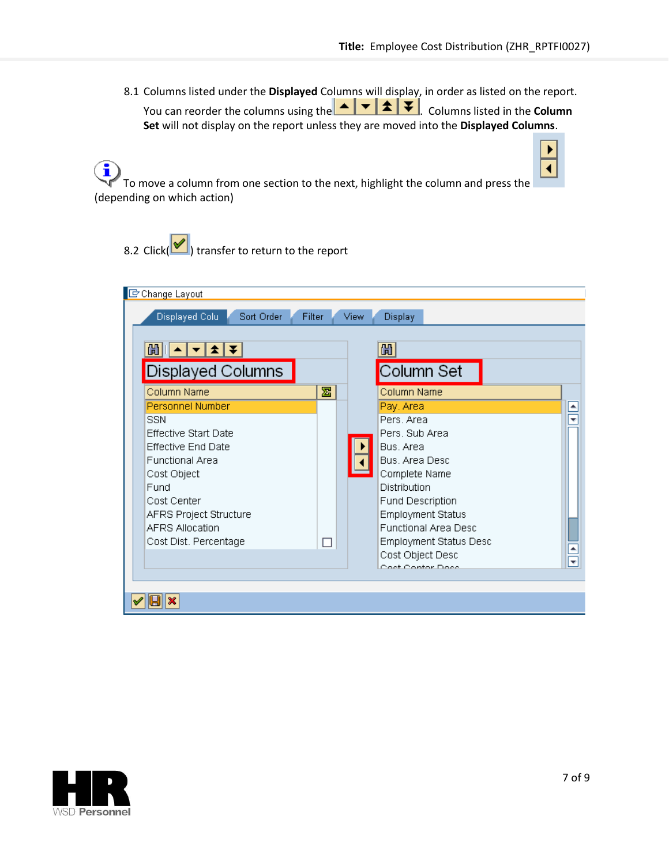٠

 $\blacktriangleleft$ 

8.1 Columns listed under the **Displayed** Columns will display, in order as listed on the report. You can reorder the columns using the  $\begin{array}{c} \hline \bullet \end{array}$   $\begin{array}{c} \hline \bullet \end{array}$   $\begin{array}{c} \hline \bullet \end{array}$  Columns listed in the **Column Set** will not display on the report unless they are moved into the **Displayed Columns**.

 $\bf \hat{j}$ To move a column from one section to the next, highlight the column and press the (depending on which action)

8.2 Click( $\bigcirc$ ) transfer to return to the report

| C Change Layout<br>Displayed Colu<br>Sort Order<br>尙<br> ≴ ∓<br>▼<br>Displayed Columns                                                                                                                                                  | Filter | <b>View</b> | <b>Display</b><br>尙<br>Column Set                                                                                                                                                                                                                                 |                                 |
|-----------------------------------------------------------------------------------------------------------------------------------------------------------------------------------------------------------------------------------------|--------|-------------|-------------------------------------------------------------------------------------------------------------------------------------------------------------------------------------------------------------------------------------------------------------------|---------------------------------|
| Column Name                                                                                                                                                                                                                             | 晷      |             | Column Name                                                                                                                                                                                                                                                       |                                 |
| Personnel Number<br><b>SSN</b><br><b>Effective Start Date</b><br><b>Effective End Date</b><br><b>Functional Area</b><br>Cost Object<br>Fund<br>Cost Center<br>AFRS Project Structure<br><b>AFRS Allocation</b><br>Cost Dist. Percentage |        |             | Pay, Area<br>Pers. Area<br>Pers. Sub Area<br>Bus. Area<br>Bus. Area Desc<br>Complete Name<br>Distribution<br><b>Fund Description</b><br><b>Employment Status</b><br>Functional Area Desc<br><b>Employment Status Desc</b><br>Cost Object Desc<br>Cost Contar Doce | ⊵<br>₹<br>$\blacktriangle$<br>च |
|                                                                                                                                                                                                                                         |        |             |                                                                                                                                                                                                                                                                   |                                 |

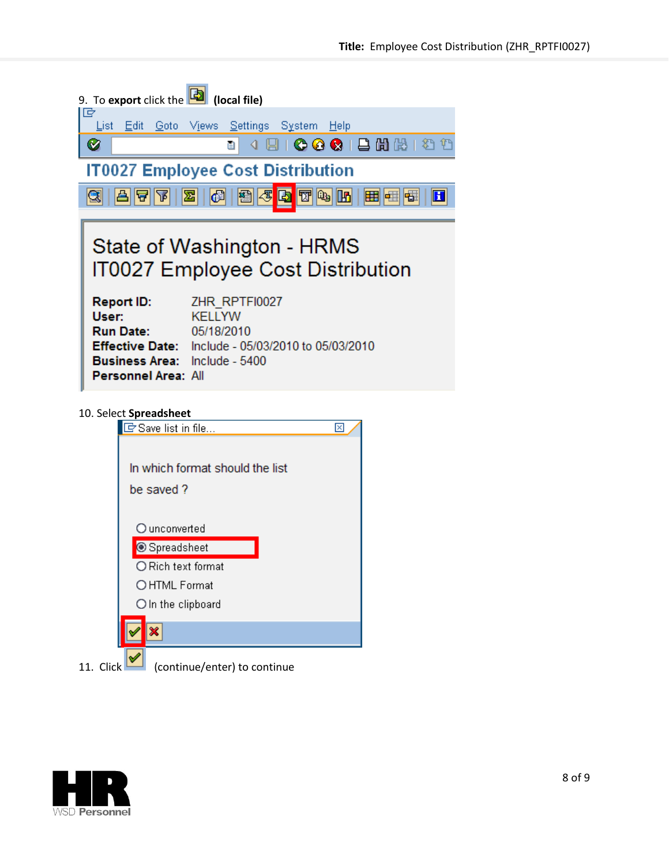| 9. To export click the <b>b</b><br>(local file)                                                                                                                                                           |
|-----------------------------------------------------------------------------------------------------------------------------------------------------------------------------------------------------------|
| 叵<br><u> L</u> ist <u>E</u> dit <u>G</u> oto V <u>i</u> ews <u>S</u> ettings S <u>y</u> stem <u>H</u> elp                                                                                                 |
| 4 8 1 <b>6 6 6</b> 1 8 6 6 1 3 1<br>Ø<br>圁                                                                                                                                                                |
| <b>IT0027 Employee Cost Distribution</b>                                                                                                                                                                  |
| $ \mathcal{F} $<br>Ð<br>THQI<br>69<br>圐<br>囲<br>嘟<br>$\mathbf{H}$<br>Ъ<br>E                                                                                                                               |
| State of Washington - HRMS<br><b>IT0027 Employee Cost Distribution</b>                                                                                                                                    |
| ZHR RPTF10027<br><b>Report ID:</b><br>KELLYW<br>User:<br><b>Run Date: 05/18/2010</b><br>Effective Date: Include - 05/03/2010 to 05/03/2010<br><b>Business Area:</b> Include - 5400<br>Personnel Area: All |
| 10. Select Spreadsheet<br>Save list in file<br>⊠                                                                                                                                                          |
| In which format should the list<br>be saved?                                                                                                                                                              |
| $O$ unconverted<br>Spreadsheet                                                                                                                                                                            |



11. Click (continue/enter) to continue

× ᢦ

O Rich text format  $\bigcirc$  HTML Format  $O$  In the clipboard